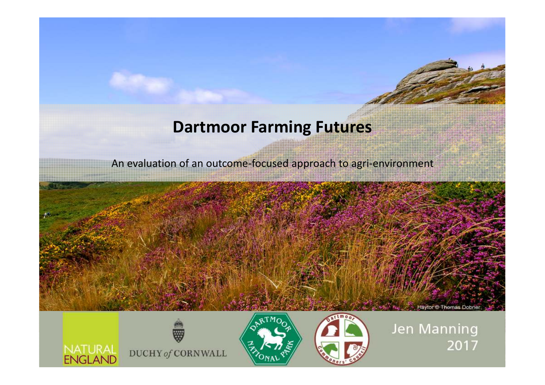### **Dartmoor Farming Futures**

An evaluation of an outcome-focused approach to agri-environment



 $\textbf{DUCHY}\textit{of}\textbf{CORNWALL}$ 



Jen Manning 2017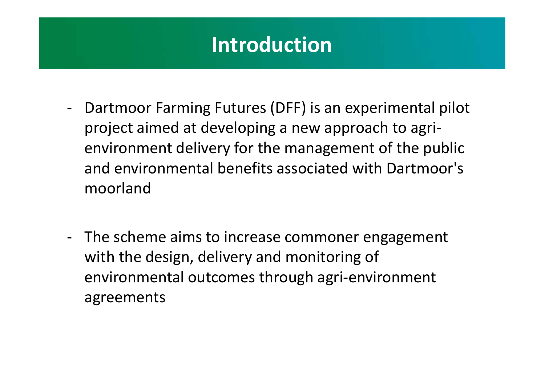# **Introduction**

- - Dartmoor Farming Futures (DFF) is an experimental pilot project aimed at developing a new approach to agrienvironment delivery for the management of the public and environmental benefits associated with Dartmoor's moorland
- - The scheme aims to increase commoner engagement with the design, delivery and monitoring of environmental outcomes through agri-environment agreements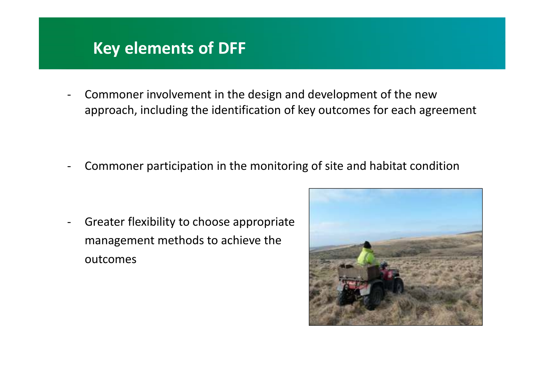### **Key elements of DFF**

 $\blacksquare$  Commoner involvement in the design and development of the new approach, including the identification of key outcomes for each agreement

-Commoner participation in the monitoring of site and habitat condition

- Greater flexibility to choose appropriate management methods to achieve the outcomes

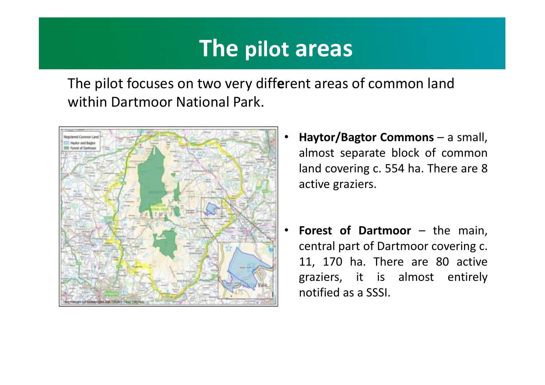# **The pilot areas**

The pilot focuses on two very diff**e**rent areas of common land within Dartmoor National Park.



- • **Haytor/Bagtor Commons** – <sup>a</sup> small, almost separate block of common land covering c. <sup>554</sup> ha. There are <sup>8</sup>active graziers.
- $\bullet$  **Forest of Dartmoor** – the main, central part of Dartmoor covering c. 11, <sup>170</sup> ha. There are <sup>80</sup> active graziers, it is almost entirely notified as <sup>a</sup> SSSI.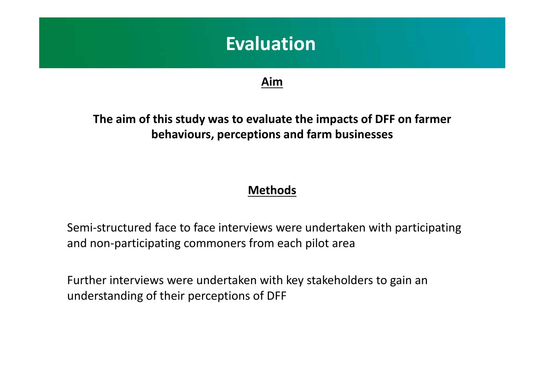### **Evaluation**

**Aim**

#### **The aim of this study was to evaluate the impacts of DFF on farmer behaviours, perceptions and farm businesses**

#### **Methods**

Semi-structured face to face interviews were undertaken with participating and non-participating commoners from each pilot area

Further interviews were undertaken with key stakeholders to gain an understanding of their perceptions of DFF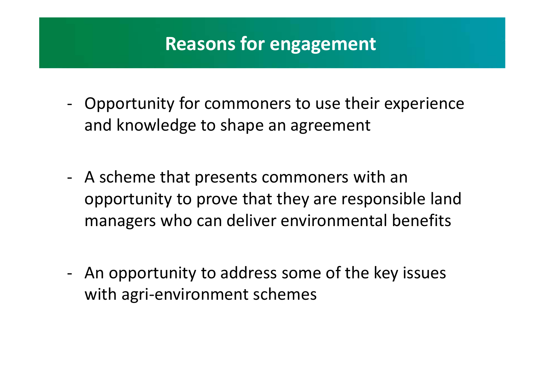### **Reasons for engagement**

- - Opportunity for commoners to use their experience and knowledge to shape an agreement
- - A scheme that presents commoners with an opportunity to prove that they are responsible landmanagers who can deliver environmental benefits
- - An opportunity to address some of the key issues with agri-environment schemes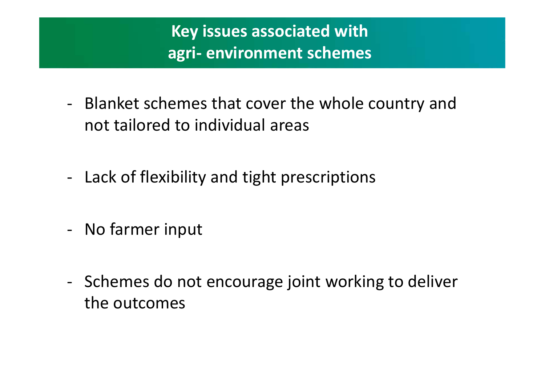### **Key issues associated with agri- environment schemes**

- - Blanket schemes that cover the whole country and not tailored to individual areas
- -Lack of flexibility and tight prescriptions
- No farmer input
- - Schemes do not encourage joint working to deliver the outcomes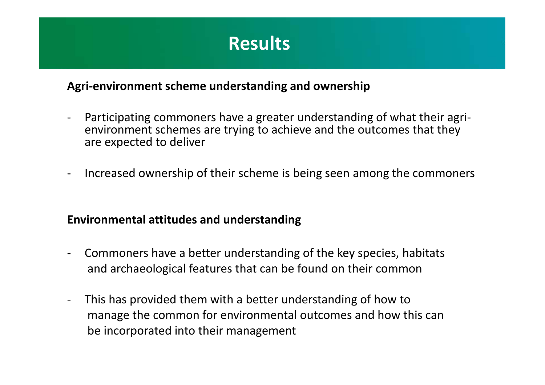

#### **Agri-environment scheme understanding and ownership**

- $\blacksquare$  Participating commoners have a greater understanding of what their agrienvironment schemes are trying to achieve and the outcomes that they are expected to deliver
- -Increased ownership of their scheme is being seen among the commoners

#### **Environmental attitudes and understanding**

- $\blacksquare$  Commoners have a better understanding of the key species, habitats and archaeological features that can be found on their common
- - This has provided them with a better understanding of how to manage the common for environmental outcomes and how this can be incorporated into their management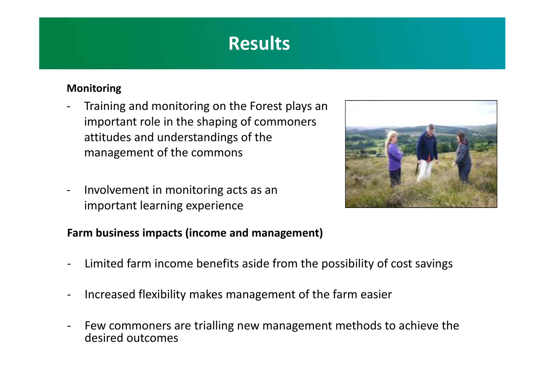### **Results**

#### **Monitoring**

- - Training and monitoring on the Forest plays an important role in the shaping of commoners attitudes and understandings of the management of the commons
- - Involvement in monitoring acts as an important learning experience



#### **Farm business impacts (income and management)**

- -Limited farm income benefits aside from the possibility of cost savings
- -Increased flexibility makes management of the farm easier
- $\blacksquare$  Few commoners are trialling new management methods to achieve the desired outcomes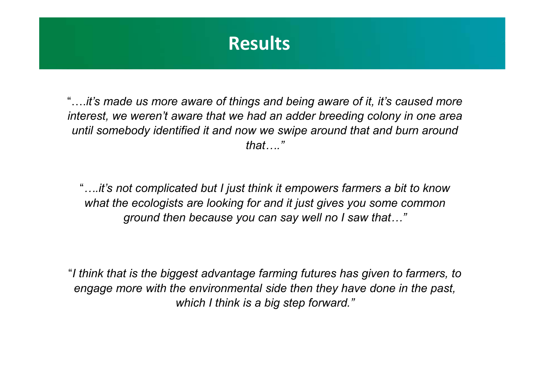### **Results**

"….*it's made us more aware of things and being aware of it, it's caused more interest, we weren't aware that we had an adder breeding colony in one area until somebody identified it and now we swipe around that and burn around that…."*

"*….it's not complicated but I just think it empowers farmers a bit to know what the ecologists are looking for and it just gives you some common ground then because you can say well no I saw that…"*

"*I think that is the biggest advantage farming futures has given to farmers, to engage more with the environmental side then they have done in the past, which I think is a big step forward."*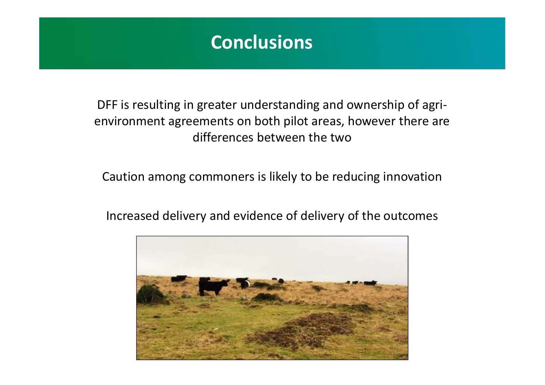### **Conclusions**

DFF is resulting in greater understanding and ownership of agrienvironment agreements on both pilot areas, however there are differences between the two

Caution among commoners is likely to be reducing innovation

Increased delivery and evidence of delivery of the outcomes